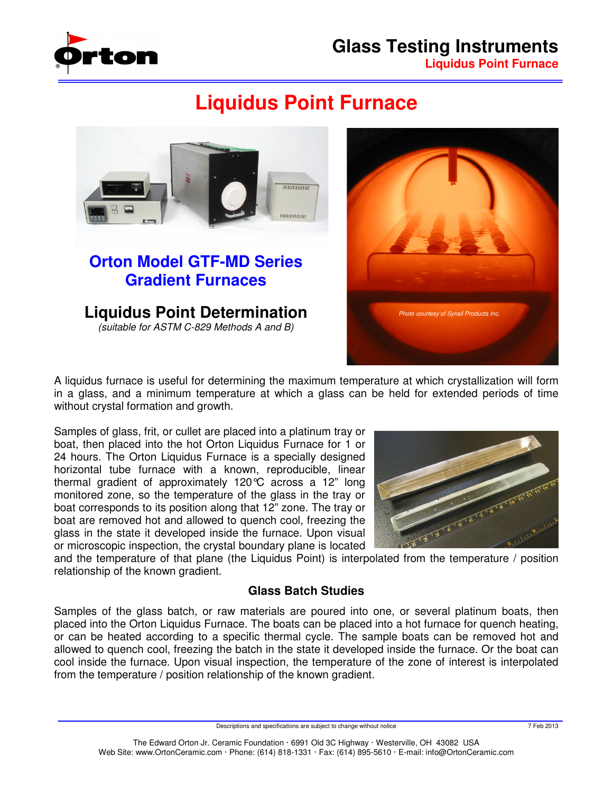

# **Glass Testing Instruments Liquidus Point Furnace**

# **Liquidus Point Furnace**





A liquidus furnace is useful for determining the maximum temperature at which crystallization will form in a glass, and a minimum temperature at which a glass can be held for extended periods of time without crystal formation and growth.

Samples of glass, frit, or cullet are placed into a platinum tray or boat, then placed into the hot Orton Liquidus Furnace for 1 or 24 hours. The Orton Liquidus Furnace is a specially designed horizontal tube furnace with a known, reproducible, linear thermal gradient of approximately 120°C across a 12" long monitored zone, so the temperature of the glass in the tray or boat corresponds to its position along that 12" zone. The tray or boat are removed hot and allowed to quench cool, freezing the glass in the state it developed inside the furnace. Upon visual or microscopic inspection, the crystal boundary plane is located



and the temperature of that plane (the Liquidus Point) is interpolated from the temperature / position relationship of the known gradient.

## **Glass Batch Studies**

Samples of the glass batch, or raw materials are poured into one, or several platinum boats, then placed into the Orton Liquidus Furnace. The boats can be placed into a hot furnace for quench heating, or can be heated according to a specific thermal cycle. The sample boats can be removed hot and allowed to quench cool, freezing the batch in the state it developed inside the furnace. Or the boat can cool inside the furnace. Upon visual inspection, the temperature of the zone of interest is interpolated from the temperature / position relationship of the known gradient.

Descriptions and specifications are subject to change without notice 7 Feb 2013